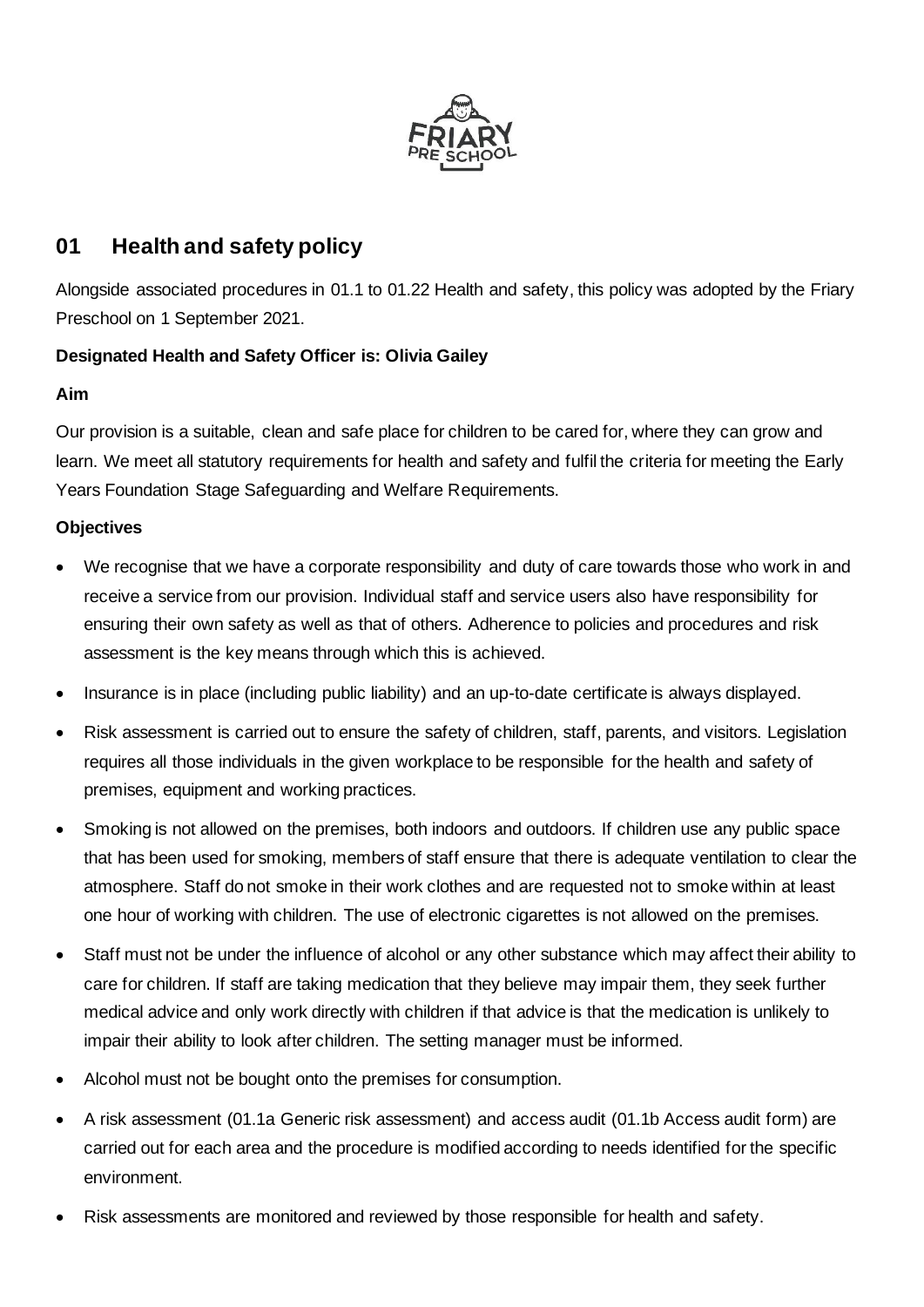

# **01 Health and safety policy**

Alongside associated procedures in 01.1 to 01.22 Health and safety, this policy was adopted by the Friary Preschool on 1 September 2021.

## **Designated Health and Safety Officer is: Olivia Gailey**

#### **Aim**

Our provision is a suitable, clean and safe place for children to be cared for, where they can grow and learn. We meet all statutory requirements for health and safety and fulfil the criteria for meeting the Early Years Foundation Stage Safeguarding and Welfare Requirements.

### **Objectives**

- We recognise that we have a corporate responsibility and duty of care towards those who work in and receive a service from our provision. Individual staff and service users also have responsibility for ensuring their own safety as well as that of others. Adherence to policies and procedures and risk assessment is the key means through which this is achieved.
- Insurance is in place (including public liability) and an up-to-date certificate is always displayed.
- Risk assessment is carried out to ensure the safety of children, staff, parents, and visitors. Legislation requires all those individuals in the given workplace to be responsible for the health and safety of premises, equipment and working practices.
- Smoking is not allowed on the premises, both indoors and outdoors. If children use any public space that has been used for smoking, members of staff ensure that there is adequate ventilation to clear the atmosphere. Staff do not smoke in their work clothes and are requested not to smoke within at least one hour of working with children. The use of electronic cigarettes is not allowed on the premises.
- Staff must not be under the influence of alcohol or any other substance which may affect their ability to care for children. If staff are taking medication that they believe may impair them, they seek further medical advice and only work directly with children if that advice is that the medication is unlikely to impair their ability to look after children. The setting manager must be informed.
- Alcohol must not be bought onto the premises for consumption.
- A risk assessment (01.1a Generic risk assessment) and access audit (01.1b Access audit form) are carried out for each area and the procedure is modified according to needs identified for the specific environment.
- Risk assessments are monitored and reviewed by those responsible for health and safety.